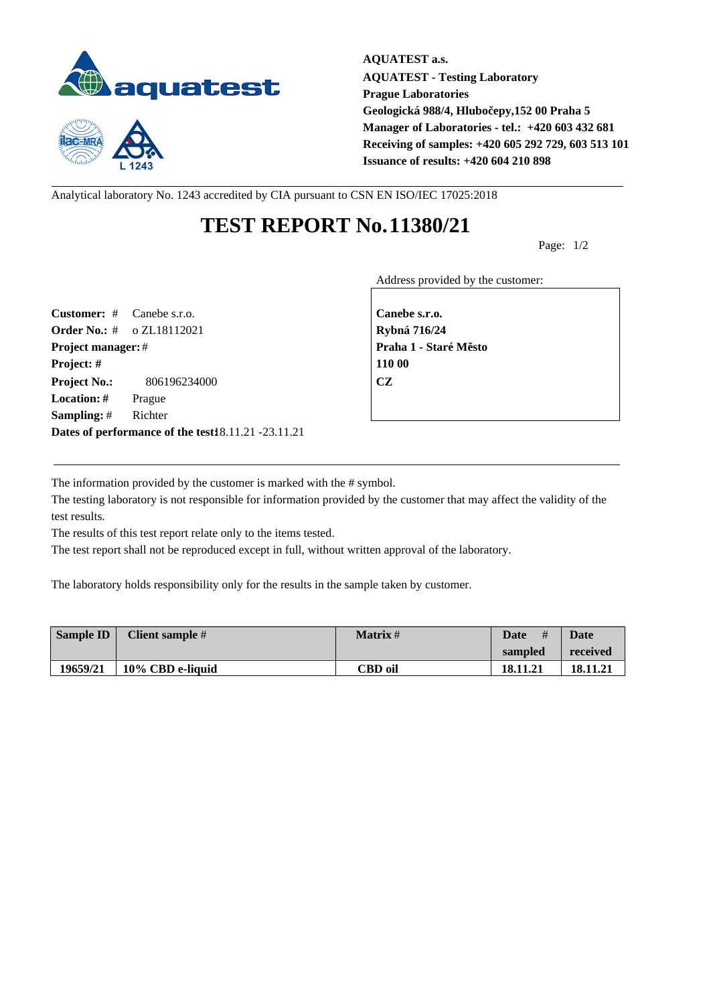



**AQUATEST a.s. AQUATEST - Testing Laboratory Prague Laboratories** Geologická 988/4, Hlubo epy,152 00 Praha 5 **Manager of Laboratories - tel.: +420 603 432 681 Receiving of samples: +420 605 292 729, 603 513 101 Issuance of results: +420 604 210 898**

Analytical laboratory No. 1243 accredited by CIA pursuant to CSN EN ISO/IEC 17025:2018

## **TEST REPORT No.11380/21**

Page: 1/2

Address provided by the customer:

**Customer:** # Canebe s.r.o. **Canebe s.r.o. Order No.:** # o ZL18112021 **Rybná 716/24 Project manager:** # **Praha 1 - Staré M** sto **Project: # 110 00 Project No.:** 806196234000 **CZ Location: #** Prague **Sampling:** # Richter **Dates of performance of the test:**18.11.21 -23.11.21

The information provided by the customer is marked with the # symbol.

The testing laboratory is not responsible for information provided by the customer that may affect the validity of the test results.

The results of this test report relate only to the items tested.

The test report shall not be reproduced except in full, without written approval of the laboratory.

The laboratory holds responsibility only for the results in the sample taken by customer.

| Sample ID | Client sample #  | <b>Matrix</b> # | #<br><b>Date</b> | <b>Date</b> |
|-----------|------------------|-----------------|------------------|-------------|
|           |                  |                 | sampled          | received    |
| 19659/21  | 10% CBD e-liquid | CBD oil         | 18.11.21         | 18.11.21    |